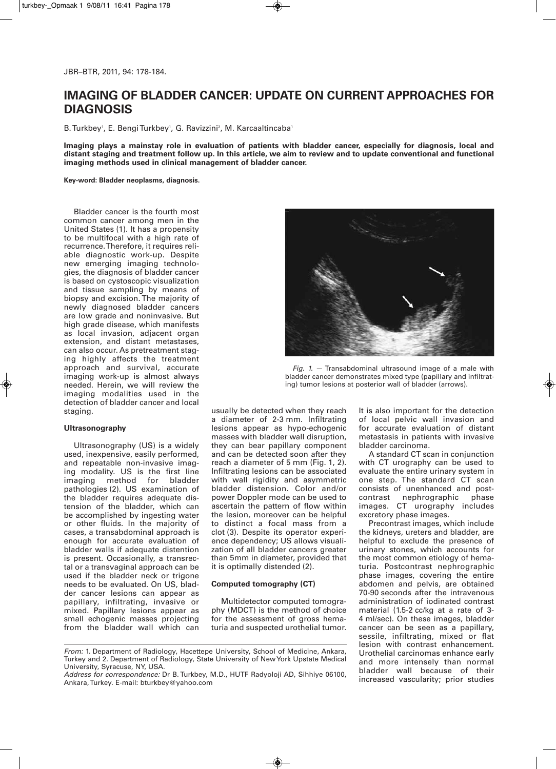# **IMAGING OF BLADDER CANCER: UPDATE ON CURRENT APPROACHES FOR DIAGNOSIS**

B. Turkbey', E. Bengi Turkbey', G. Ravizzini<sup>2</sup>, M. Karcaaltincaba'

Imaging plays a mainstay role in evaluation of patients with bladder cancer, especially for diagnosis, local and distant staging and treatment follow up. In this article, we aim to review and to update conventional and functional **imaging methods used in clinical management of bladder cancer.**

**Key-word: Bladder neoplasms, diagnosis.**

Bladder cancer is the fourth most common cancer among men in the United States (1). It has a propensity to be multifocal with a high rate of recurrence.Therefore, it requires reliable diagnostic work-up. Despite new emerging imaging technologies, the diagnosis of bladder cancer is based on cystoscopic visualization and tissue sampling by means of biopsy and excision. The majority of newly diagnosed bladder cancers are low grade and noninvasive. But high grade disease, which manifests as local invasion, adjacent organ extension, and distant metastases, can also occur. As pretreatment staging highly affects the treatment approach and survival, accurate imaging work-up is almost always needed. Herein, we will review the imaging modalities used in the detection of bladder cancer and local staging.

## **Ultrasonography**

Ultrasonography (US) is a widely used, inexpensive, easily performed, and repeatable non-invasive imaging modality. US is the first line imaging method for bladder pathologies (2). US examination of the bladder requires adequate distension of the bladder, which can be accomplished by ingesting water or other fluids. In the majority of cases, a transabdominal approach is enough for accurate evaluation of bladder walls if adequate distention is present. Occasionally, a transrectal or a transvaginal approach can be used if the bladder neck or trigone needs to be evaluated. On US, bladder cancer lesions can appear as papillary, infiltrating, invasive or mixed. Papillary lesions appear as small echogenic masses projecting from the bladder wall which can



*Fig. 1.* — Transabdominal ultrasound image of a male with bladder cancer demonstrates mixed type (papillary and infiltrating) tumor lesions at posterior wall of bladder (arrows).

usually be detected when they reach a diameter of 2-3 mm. Infiltrating lesions appear as hypo-echogenic masses with bladder wall disruption, they can bear papillary component and can be detected soon after they reach a diameter of 5 mm (Fig. 1, 2). Infiltrating lesions can be associated with wall rigidity and asymmetric bladder distension. Color and/or power Doppler mode can be used to ascertain the pattern of flow within the lesion, moreover can be helpful to distinct a focal mass from a clot (3). Despite its operator experience dependency; US allows visualization of all bladder cancers greater than 5mm in diameter, provided that it is optimally distended (2).

## **Computed tomography (CT)**

Multidetector computed tomography (MDCT) is the method of choice for the assessment of gross hematuria and suspected urothelial tumor.

It is also important for the detection of local pelvic wall invasion and for accurate evaluation of distant metastasis in patients with invasive bladder carcinoma.

A standard CT scan in conjunction with CT urography can be used to evaluate the entire urinary system in one step. The standard CT scan consists of unenhanced and post-<br>contrast nephrographic phase contrast nephrographic images. CT urography includes excretory phase images.

Precontrast images, which include the kidneys, ureters and bladder, are helpful to exclude the presence of urinary stones, which accounts for the most common etiology of hematuria. Postcontrast nephrographic phase images, covering the entire abdomen and pelvis, are obtained 70-90 seconds after the intravenous administration of iodinated contrast material (1.5-2 cc/kg at a rate of 3- 4 ml/sec). On these images, bladder cancer can be seen as a papillary, sessile, infiltrating, mixed or flat lesion with contrast enhancement. Urothelial carcinomas enhance early and more intensely than normal bladder wall because of their increased vascularity; prior studies

*From:* 1. Department of Radiology, Hacettepe University, School of Medicine, Ankara, Turkey and 2. Department of Radiology, State University of NewYork Upstate Medical University, Syracuse, NY, USA.

*Address for correspondence:* Dr B. Turkbey, M.D., HUTF Radyoloji AD, Sihhiye 06100, Ankara,Turkey. E-mail: bturkbey@yahoo.com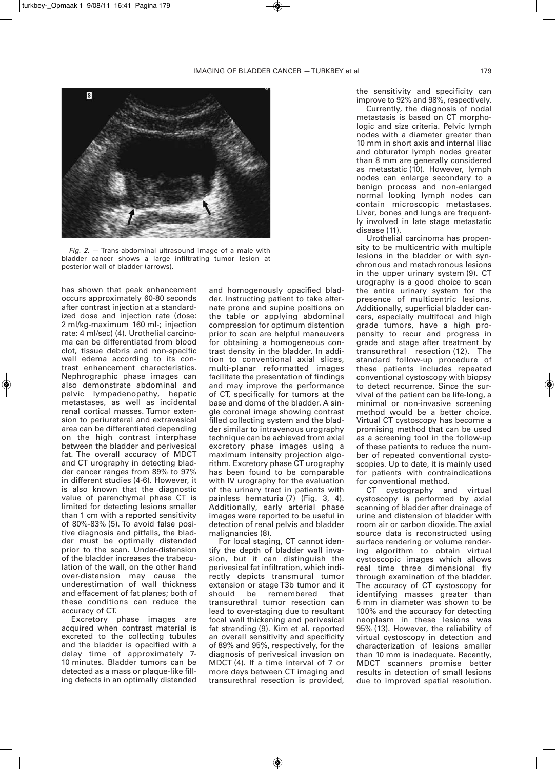

*Fig. 2.* — Trans-abdominal ultrasound image of a male with bladder cancer shows a large infiltrating tumor lesion at posterior wall of bladder (arrows).

has shown that peak enhancement occurs approximately 60-80 seconds after contrast injection at a standardized dose and injection rate (dose: 2 ml/kg-maximum 160 ml-; injection rate: 4 ml/sec) (4). Urothelial carcinoma can be differentiated from blood clot, tissue debris and non-specific wall edema according to its contrast enhancement characteristics. Nephrographic phase images can also demonstrate abdominal and pelvic lympadenopathy, hepatic metastases, as well as incidental renal cortical masses. Tumor extension to periureteral and extravesical area can be differentiated depending on the high contrast interphase between the bladder and perivesical fat. The overall accuracy of MDCT and CT urography in detecting bladder cancer ranges from 89% to 97% in different studies (4-6). However, it is also known that the diagnostic value of parenchymal phase CT is limited for detecting lesions smaller than 1 cm with a reported sensitivity of 80%-83% (5). To avoid false positive diagnosis and pitfalls, the bladder must be optimally distended prior to the scan. Under-distension of the bladder increases the trabeculation of the wall, on the other hand over-distension may cause the underestimation of wall thickness and effacement of fat planes; both of these conditions can reduce the accuracy of CT.

Excretory phase images are acquired when contrast material is excreted to the collecting tubules and the bladder is opacified with a delay time of approximately 7- 10 minutes. Bladder tumors can be detected as a mass or plaque-like filling defects in an optimally distended

and homogenously opacified bladder. Instructing patient to take alternate prone and supine positions on the table or applying abdominal compression for optimum distention prior to scan are helpful maneuvers for obtaining a homogeneous contrast density in the bladder. In addition to conventional axial slices, multi-planar reformatted images facilitate the presentation of findings and may improve the performance of CT, specifically for tumors at the base and dome of the bladder. A single coronal image showing contrast filled collecting system and the bladder similar to intravenous urography technique can be achieved from axial excretory phase images using a maximum intensity projection algorithm. Excretory phase CT urography has been found to be comparable with IV urography for the evaluation of the urinary tract in patients with painless hematuria (7) (Fig. 3, 4). Additionally, early arterial phase images were reported to be useful in detection of renal pelvis and bladder malignancies (8).

For local staging, CT cannot identify the depth of bladder wall invasion, but it can distinguish the perivesical fat infiltration, which indirectly depicts transmural tumor extension or stage T3b tumor and it<br>should be remembered that remembered transurethral tumor resection can lead to over-staging due to resultant focal wall thickening and perivesical fat stranding (9). Kim et al. reported an overall sensitivity and specificity of 89% and 95%, respectively, for the diagnosis of perivesical invasion on MDCT (4). If a time interval of 7 or more days between CT imaging and transurethral resection is provided,

the sensitivity and specificity can improve to 92% and 98%, respectively.

Currently, the diagnosis of nodal metastasis is based on CT morphologic and size criteria. Pelvic lymph nodes with a diameter greater than 10 mm in short axis and internal iliac and obturator lymph nodes greater than 8 mm are generally considered as metastatic (10). However, lymph nodes can enlarge secondary to a benign process and non-enlarged normal looking lymph nodes can contain microscopic metastases. Liver, bones and lungs are frequently involved in late stage metastatic disease (11).

Urothelial carcinoma has propensity to be multicentric with multiple lesions in the bladder or with synchronous and metachronous lesions in the upper urinary system (9). CT urography is a good choice to scan the entire urinary system for the presence of multicentric lesions. Additionally, superficial bladder cancers, especially multifocal and high grade tumors, have a high propensity to recur and progress in grade and stage after treatment by transurethral resection (12). The standard follow-up procedure of these patients includes repeated conventional cystoscopy with biopsy to detect recurrence. Since the survival of the patient can be life-long, a minimal or non-invasive screening method would be a better choice. Virtual CT cystoscopy has become a promising method that can be used as a screening tool in the follow-up of these patients to reduce the number of repeated conventional cystoscopies. Up to date, it is mainly used for patients with contraindications for conventional method.

CT cystography and virtual cystoscopy is performed by axial scanning of bladder after drainage of urine and distension of bladder with room air or carbon dioxide.The axial source data is reconstructed using surface rendering or volume rendering algorithm to obtain virtual cystoscopic images which allows real time three dimensional fly through examination of the bladder. The accuracy of CT cystoscopy for identifying masses greater than 5 mm in diameter was shown to be 100% and the accuracy for detecting neoplasm in these lesions was 95% (13). However, the reliability of virtual cystoscopy in detection and characterization of lesions smaller than 10 mm is inadequate. Recently, MDCT scanners promise better results in detection of small lesions due to improved spatial resolution.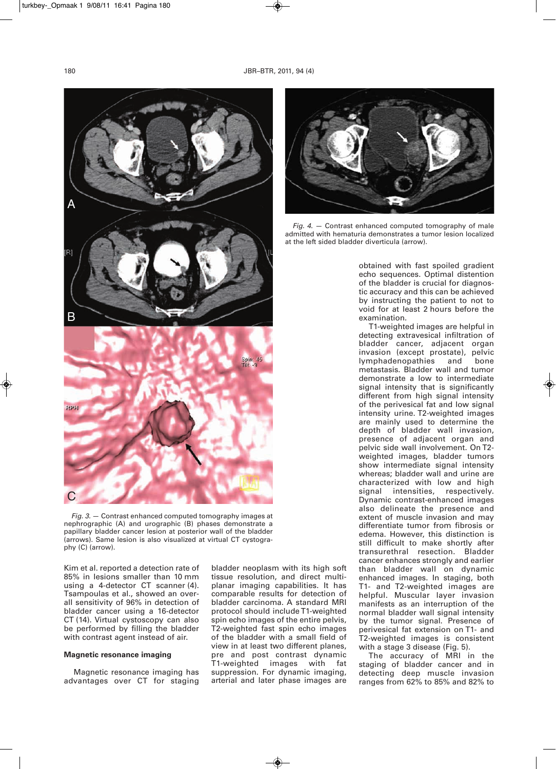

*Fig. 3.* — Contrast enhanced computed tomography images at nephrographic (A) and urographic (B) phases demonstrate a papillary bladder cancer lesion at posterior wall of the bladder (arrows). Same lesion is also visualized at virtual CT cystography (C) (arrow).

Kim et al. reported a detection rate of 85% in lesions smaller than 10 mm using a 4-detector CT scanner (4). Tsampoulas et al., showed an overall sensitivity of 96% in detection of bladder cancer using a 16-detector CT (14). Virtual cystoscopy can also be performed by filling the bladder with contrast agent instead of air.

### **Magnetic resonance imaging**

Magnetic resonance imaging has advantages over CT for staging bladder neoplasm with its high soft tissue resolution, and direct multiplanar imaging capabilities. It has comparable results for detection of bladder carcinoma. A standard MRI protocol should include T1-weighted spin echo images of the entire pelvis, T2-weighted fast spin echo images of the bladder with a small field of view in at least two different planes, pre and post contrast dynamic T1-weighted images with fat suppression. For dynamic imaging, arterial and later phase images are



*Fig. 4.* — Contrast enhanced computed tomography of male admitted with hematuria demonstrates a tumor lesion localized at the left sided bladder diverticula (arrow).

obtained with fast spoiled gradient echo sequences. Optimal distention of the bladder is crucial for diagnostic accuracy and this can be achieved by instructing the patient to not to void for at least 2 hours before the examination.

T1-weighted images are helpful in detecting extravesical infiltration of bladder cancer, adjacent organ invasion (except prostate), pelvic lymphadenopathies and bone metastasis. Bladder wall and tumor demonstrate a low to intermediate signal intensity that is significantly different from high signal intensity of the perivesical fat and low signal intensity urine. T2-weighted images are mainly used to determine the depth of bladder wall invasion, presence of adjacent organ and pelvic side wall involvement. On T2 weighted images, bladder tumors show intermediate signal intensity whereas; bladder wall and urine are characterized with low and high signal intensities, respectively. Dynamic contrast-enhanced images also delineate the presence and extent of muscle invasion and may differentiate tumor from fibrosis or edema. However, this distinction is still difficult to make shortly after transurethral resection. Bladder cancer enhances strongly and earlier than bladder wall on dynamic enhanced images. In staging, both T1- and T2-weighted images are helpful. Muscular layer invasion manifests as an interruption of the normal bladder wall signal intensity by the tumor signal. Presence of perivesical fat extension on T1- and T2-weighted images is consistent with a stage 3 disease (Fig. 5).

The accuracy of MRI in the staging of bladder cancer and in detecting deep muscle invasion ranges from 62% to 85% and 82% to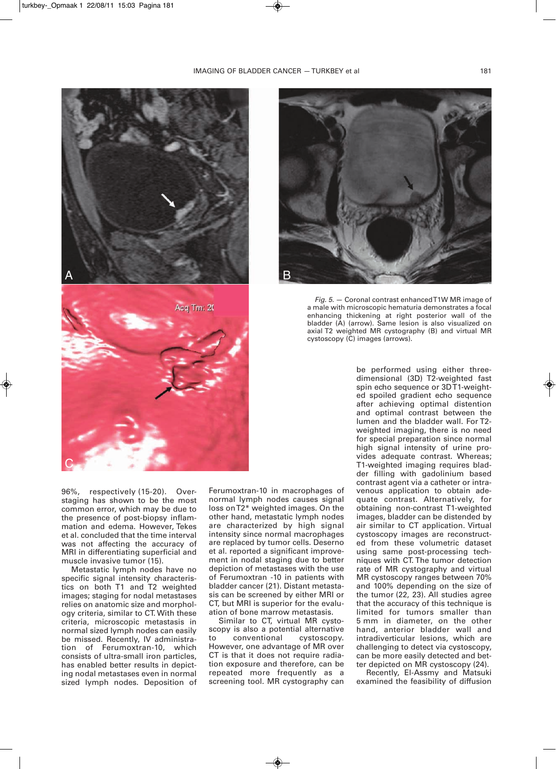



*Fig. 5.* — Coronal contrast enhanced T1W MR image of a male with microscopic hematuria demonstrates a focal enhancing thickening at right posterior wall of the bladder (A) (arrow). Same lesion is also visualized on axial T2 weighted MR cystography (B) and virtual MR cystoscopy (C) images (arrows).

96%, respectively (15-20). Over staging has shown to be the most common error, which may be due to the presence of post-biopsy inflammation and edema. However, Tekes et al. concluded that the time interval was not affecting the accuracy of MRI in differentiating superficial and muscle invasive tumor (15).

Metastatic lymph nodes have no specific signal intensity characteristics on both T1 and T2 weighted images; staging for nodal metastases relies on anatomic size and morphology criteria, similar to CT. With these criteria, microscopic metastasis in normal sized lymph nodes can easily be missed. Recently, IV administration of Ferumoxtran-10, which consists of ultra-small iron particles, has enabled better results in depicting nodal metastases even in normal sized lymph nodes. Deposition of

Ferumoxtran-10 in macrophages of normal lymph nodes causes signal loss on T2\* weighted images. On the other hand, metastatic lymph nodes are characterized by high signal intensity since normal macrophages are replaced by tumor cells. Deserno et al. reported a significant improvement in nodal staging due to better depiction of metastases with the use of Ferumoxtran -10 in patients with bladder cancer (21). Distant metastasis can be screened by either MRI or CT, but MRI is superior for the evaluation of bone marrow metastasis.

Similar to CT, virtual MR cystoscopy is also a potential alternative to conventional cystoscopy. However, one advantage of MR over CT is that it does not require radiation exposure and therefore, can be repeated more frequently as a screening tool. MR cystography can be performed using either threedimensional (3D) T2-weighted fast spin echo sequence or 3D T1-weighted spoiled gradient echo sequence after achieving optimal distention and optimal contrast between the lumen and the bladder wall. For T2 weighted imaging, there is no need for special preparation since normal high signal intensity of urine provides adequate contrast. Whereas; T1-weighted imaging requires bladder filling with gadolinium based contrast agent via a catheter or intravenous application to obtain adequate contrast. Alternatively, for obtaining non-contrast T1-weighted images, bladder can be distended by air similar to CT application. Virtual cystoscopy images are reconstructed from these volumetric dataset using same post-processing techniques with CT. The tumor detection rate of MR cystography and virtual MR cystoscopy ranges between 70% and 100% depending on the size of the tumor (22, 23). All studies agree that the accuracy of this technique is limited for tumors smaller than 5 mm in diameter, on the other hand, anterior bladder wall and intradiverticular lesions, which are challenging to detect via cystoscopy, can be more easily detected and better depicted on MR cystoscopy (24).

Recently, El-Assmy and Matsuki examined the feasibility of diffusion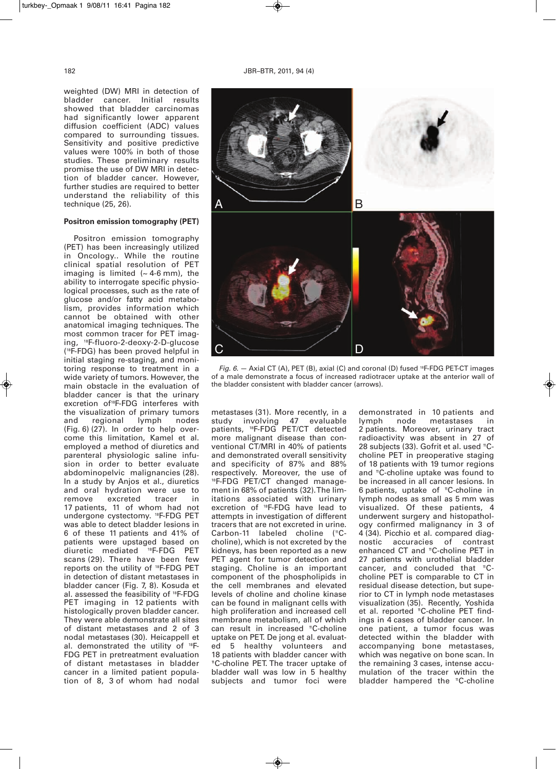weighted (DW) MRI in detection of bladder cancer. Initial results showed that bladder carcinomas had significantly lower apparent diffusion coefficient (ADC) values compared to surrounding tissues. Sensitivity and positive predictive values were 100% in both of those studies. These preliminary results promise the use of DW MRI in detection of bladder cancer. However, further studies are required to better understand the reliability of this technique (25, 26).

# **Positron emission tomography (PET)**

Positron emission tomography (PET) has been increasingly utilized in Oncology.. While the routine clinical spatial resolution of PET imaging is limited  $(-4.6 \text{ mm})$ , the ability to interrogate specific physiological processes, such as the rate of glucose and/or fatty acid metabolism, provides information which cannot be obtained with other anatomical imaging techniques. The most common tracer for PET imaging, <sup>18</sup> F-fluoro-2-deoxy-2-D-glucose (18 F-FDG) has been proved helpful in initial staging re-staging, and monitoring response to treatment in a wide variety of tumors. However, the main obstacle in the evaluation of bladder cancer is that the urinary excretion of18 F-FDG interferes with the visualization of primary tumors and regional lymph nodes (Fig. 6) (27). In order to help overcome this limitation, Kamel et al. employed a method of diuretics and parenteral physiologic saline infusion in order to better evaluate abdominopelvic malignancies (28). In a study by Anjos et al., diuretics and oral hydration were use to remove excreted tracer in 17 patients, 11 of whom had not undergone cystectomy. <sup>18</sup> F-FDG PET was able to detect bladder lesions in 6 of these 11 patients and 41% of patients were upstaged based on diuretic mediated <sup>18</sup> F-FDG PET scans (29). There have been few reports on the utility of <sup>18</sup> F-FDG PET in detection of distant metastases in bladder cancer (Fig. 7, 8). Kosuda et al. assessed the feasibility of <sup>18</sup> F-FDG PET imaging in 12 patients with histologically proven bladder cancer. They were able demonstrate all sites of distant metastases and 2 of 3 nodal metastases (30). Heicappell et al. demonstrated the utility of <sup>18</sup>F-FDG PET in pretreatment evaluation of distant metastases in bladder cancer in a limited patient population of 8, 3 of whom had nodal



*Fig. 6.* — Axial CT (A), PET (B), axial (C) and coronal (D) fused <sup>18</sup>F-FDG PET-CT images of a male demonstrate a focus of increased radiotracer uptake at the anterior wall of the bladder consistent with bladder cancer (arrows).

metastases (31). More recently, in a study involving 47 evaluable patients, <sup>18</sup> F-FDG PET/CT detected more malignant disease than conventional CT/MRI in 40% of patients and demonstrated overall sensitivity and specificity of 87% and 88% respectively. Moreover, the use of 18 F-FDG PET/CT changed management in 68% of patients (32).The limitations associated with urinary excretion of <sup>18</sup> F-FDG have lead to attempts in investigation of different tracers that are not excreted in urine. Carbon-11 labeled choline ("Ccholine), which is not excreted by the kidneys, has been reported as a new PET agent for tumor detection and staging. Choline is an important component of the phospholipids in the cell membranes and elevated levels of choline and choline kinase can be found in malignant cells with high proliferation and increased cell membrane metabolism, all of which can result in increased <sup>n</sup>C-choline uptake on PET. De jong et al. evaluated 5 healthy volunteers and 18 patients with bladder cancer with 11 C-choline PET. The tracer uptake of bladder wall was low in 5 healthy subjects and tumor foci were

demonstrated in 10 patients and lymph node metastases in 2 patients. Moreover, urinary tract radioactivity was absent in 27 of 28 subjects (33). Gofrit et al. used <sup>n</sup>Ccholine PET in preoperative staging of 18 patients with 19 tumor regions and <sup>"</sup>C-choline uptake was found to be increased in all cancer lesions. In 6 patients, uptake of "C-choline in lymph nodes as small as 5 mm was visualized. Of these patients, 4 underwent surgery and histopathology confirmed malignancy in 3 of 4 (34). Picchio et al. compared diagnostic accuracies of contrast enhanced CT and "C-choline PET in 27 patients with urothelial bladder cancer, and concluded that "Ccholine PET is comparable to CT in residual disease detection, but superior to CT in lymph node metastases visualization (35). Recently, Yoshida et al. reported "C-choline PET findings in 4 cases of bladder cancer. In one patient, a tumor focus was detected within the bladder with accompanying bone metastases, which was negative on bone scan. In the remaining 3 cases, intense accumulation of the tracer within the bladder hampered the "C-choline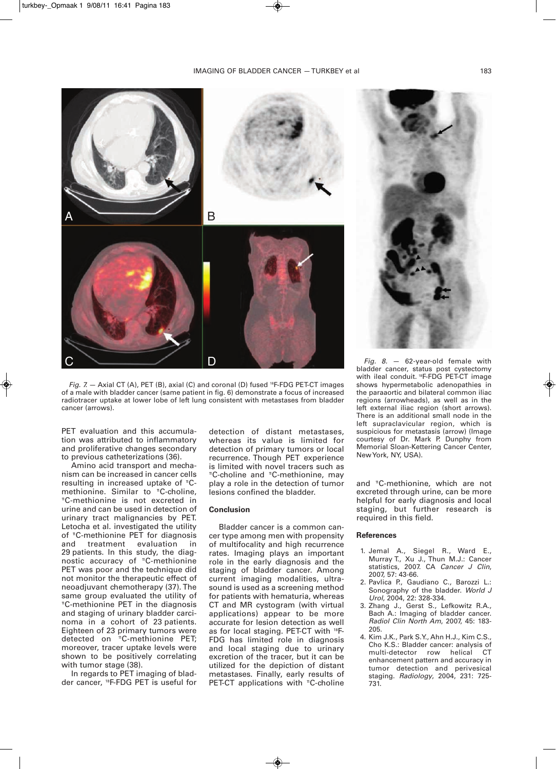

*Fig.* 7. — Axial CT (A), PET (B), axial (C) and coronal (D) fused <sup>18</sup>F-FDG PET-CT images of a male with bladder cancer (same patient in fig. 6) demonstrate a focus of increased radiotracer uptake at lower lobe of left lung consistent with metastases from bladder cancer (arrows).

PET evaluation and this accumulation was attributed to inflammatory and proliferative changes secondary to previous catheterizations (36).

Amino acid transport and mechanism can be increased in cancer cells resulting in increased uptake of "Cmethionine. Similar to <sup>"</sup>C-choline, 11 C-methionine is not excreted in urine and can be used in detection of urinary tract malignancies by PET. Letocha et al. investigated the utility of <sup>"</sup>C-methionine PET for diagnosis and treatment evaluation in 29 patients. In this study, the diagnostic accuracy of "C-methionine PET was poor and the technique did not monitor the therapeutic effect of neoadjuvant chemotherapy (37). The same group evaluated the utility of <sup>"</sup>C-methionine PET in the diagnosis and staging of urinary bladder carcinoma in a cohort of 23 patients. Eighteen of 23 primary tumors were detected on <sup>11</sup> C-methionine PET; moreover, tracer uptake levels were shown to be positively correlating with tumor stage (38).

In regards to PET imaging of bladder cancer, <sup>18</sup> F-FDG PET is useful for

detection of distant metastases, whereas its value is limited for detection of primary tumors or local recurrence. Though PET experience is limited with novel tracers such as <sup>n</sup>C-choline and <sup>n</sup>C-methionine, may play a role in the detection of tumor lesions confined the bladder.

#### **Conclusion**

Bladder cancer is a common cancer type among men with propensity of multifocality and high recurrence rates. Imaging plays an important role in the early diagnosis and the staging of bladder cancer. Among current imaging modalities, ultrasound is used as a screening method for patients with hematuria, whereas CT and MR cystogram (with virtual applications) appear to be more accurate for lesion detection as well as for local staging. PET-CT with <sup>18</sup>F-FDG has limited role in diagnosis and local staging due to urinary excretion of the tracer, but it can be utilized for the depiction of distant metastases. Finally, early results of PET-CT applications with "C-choline



*Fig. 8.* — 62-year-old female with bladder cancer, status post cystectomy with ileal conduit. <sup>18</sup> F-FDG PET-CT image shows hypermetabolic adenopathies in the paraaortic and bilateral common iliac regions (arrowheads), as well as in the left external iliac region (short arrows). There is an additional small node in the left supraclavicular region, which is suspicious for metastasis (arrow) (Image courtesy of Dr. Mark P. Dunphy from Memorial Sloan-Kettering Cancer Center, NewYork, NY, USA).

and <sup>11</sup> C-methionine, which are not excreted through urine, can be more helpful for early diagnosis and local staging, but further research is required in this field.

#### **References**

- 1. Jemal A., Siegel R., Ward E., Murray T., Xu J., Thun M.J.: Cancer statistics, 2007. CA *Cancer J Clin*, 2007, 57: 43-66.
- 2. Pavlica P., Gaudiano C., Barozzi L.: Sonography of the bladder. *World J Urol*, 2004, 22: 328-334.
- 3. Zhang J., Gerst S., Lefkowitz R.A., Bach A.: Imaging of bladder cancer. *Radiol Clin North Am*, 2007, 45: 183- 205.
- 4. Kim J.K., Park S.Y., Ahn H.J., Kim C.S., Cho K.S.: Bladder cancer: analysis of multi-detector row helical CT enhancement pattern and accuracy in tumor detection and perivesical staging. *Radiology*, 2004, 231: 725- 731.